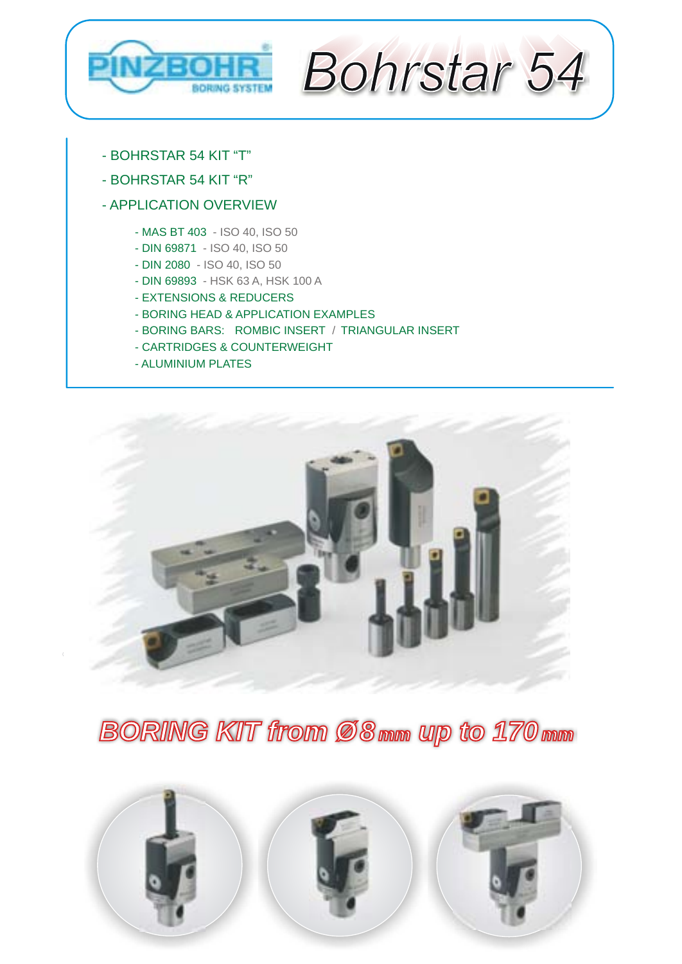<span id="page-0-0"></span>



- [BOHRSTAR 54 KIT "T"](#page-1-0)
- [BOHRSTAR 54 KIT "R"](#page-2-0)

#### [- APPLICATION OVERVIEW](#page-3-0)

- [MAS BT 403 ISO 40, ISO 50](#page-4-0)
- [DIN 69871 ISO 40, ISO 50](#page-5-0)
- [DIN 2080 ISO 40, ISO 50](#page-6-0)
- [DIN 69893 HSK 63 A, HSK 100 A](#page-7-0)
- [EXTENSIONS & REDUCERS](#page-8-0)
- [BORING HEAD & APPLICATION EXAMPLES](#page-9-0)
- BORING BARS: [ROMBIC INSERT](#page-10-0) / [TRIANGULAR INSERT](#page-11-0)
- [CARTRIDGES & COUNTERWEIGHT](#page-12-0)
- [ALUMINIUM PLATES](#page-13-0)



*BORING KIT from Ø 8 mm up to 170 170 mm*

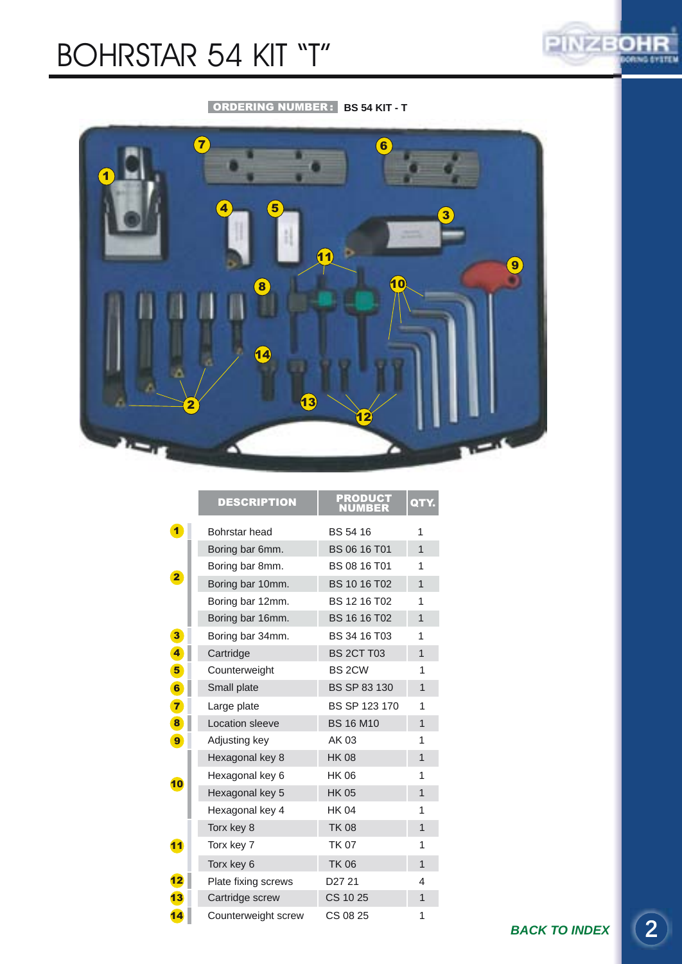## <span id="page-1-0"></span>BOHRSTAR 54 KIT "T"



#### ORDERING NUMBER : **BS 54 KIT - T**



|                         | <b>DESCRIPTION</b>  | <b>PRODUCT</b><br>NUMBER | QTY.           |
|-------------------------|---------------------|--------------------------|----------------|
| $\blacksquare$          | Bohrstar head       | <b>BS 54 16</b>          | 1              |
|                         | Boring bar 6mm.     | BS 06 16 T01             | 1              |
|                         | Boring bar 8mm.     | BS 08 16 T01             | 1              |
| $\overline{\mathbf{2}}$ | Boring bar 10mm.    | <b>BS 10 16 T02</b>      | $\overline{1}$ |
|                         | Boring bar 12mm.    | BS 12 16 T02             | 1              |
|                         | Boring bar 16mm.    | BS 16 16 T02             | $\overline{1}$ |
| 3 <sup>5</sup>          | Boring bar 34mm.    | BS 34 16 T03             | 1              |
| $\overline{\mathbf{4}}$ | Cartridge           | <b>BS 2CT T03</b>        | $\overline{1}$ |
| $5\phantom{.0}$         | Counterweight       | BS 2CW                   | 1              |
| 6                       | Small plate         | BS SP 83 130             | $\overline{1}$ |
| $\overline{7}$          | Large plate         | BS SP 123 170            | 1              |
| 8                       | Location sleeve     | <b>BS 16 M10</b>         | 1              |
| 9                       | Adjusting key       | AK 03                    | 1              |
|                         | Hexagonal key 8     | <b>HK 08</b>             | 1              |
| 10                      | Hexagonal key 6     | <b>HK 06</b>             | 1              |
|                         | Hexagonal key 5     | <b>HK 05</b>             | $\mathbf{1}$   |
|                         | Hexagonal key 4     | <b>HK 04</b>             | 1              |
|                         | Torx key 8          | <b>TK 08</b>             | 1              |
| 11                      | Torx key 7          | <b>TK 07</b>             | 1              |
|                         | Torx key 6          | <b>TK 06</b>             | $\mathbf{1}$   |
| 12                      | Plate fixing screws | D27 21                   | 4              |
| 13                      | Cartridge screw     | CS 10 25                 | 1              |
| 14                      | Counterweight screw | CS 08 25                 | 1              |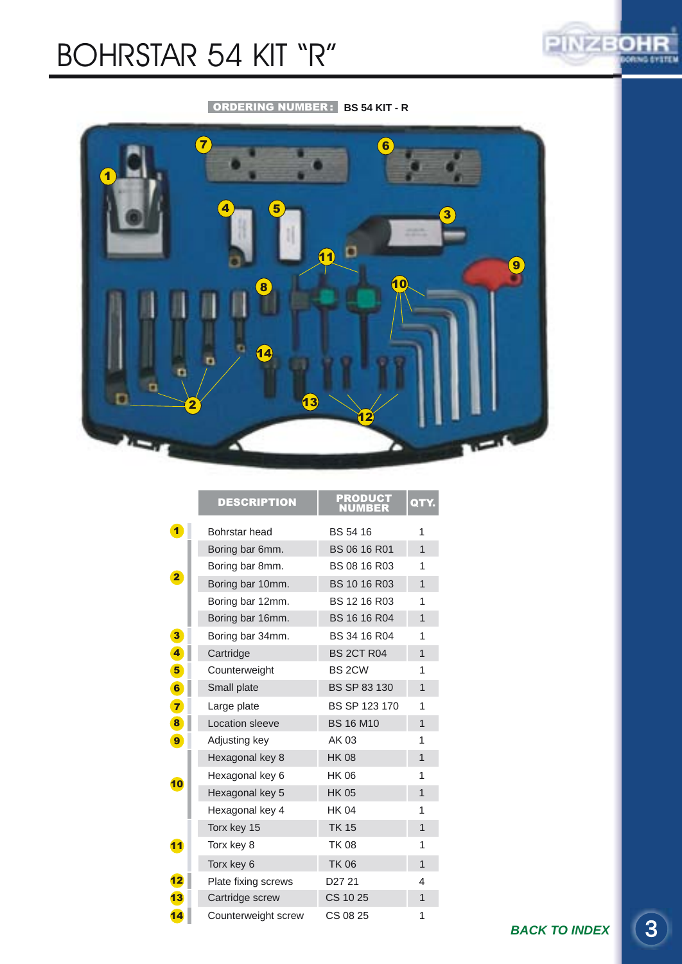# <span id="page-2-0"></span>BOHRSTAR 54 KIT "R"



#### ORDERING NUMBER : **BS 54 KIT - R**



|                         | <b>DESCRIPTION</b>  | <b>PRODUCT<br/>NUMBER</b> | QTY.           |
|-------------------------|---------------------|---------------------------|----------------|
| $\blacktriangleleft$    | Bohrstar head       | BS 54 16                  | 1              |
|                         | Boring bar 6mm.     | BS 06 16 R01              | 1              |
|                         | Boring bar 8mm.     | BS 08 16 R03              | 1              |
| $\overline{\mathbf{2}}$ | Boring bar 10mm.    | BS 10 16 R03              | $\overline{1}$ |
|                         | Boring bar 12mm.    | <b>BS 12 16 R03</b>       | 1              |
|                         | Boring bar 16mm.    | BS 16 16 R04              | 1              |
| $\mathbf{3}$            | Boring bar 34mm.    | BS 34 16 R04              | 1              |
| $\overline{\mathbf{4}}$ | Cartridge           | <b>BS 2CT R04</b>         | $\overline{1}$ |
| $5\phantom{.0}$         | Counterweight       | BS 2CW                    | 1              |
| 6                       | Small plate         | BS SP 83 130              | 1              |
| $\overline{7}$          | Large plate         | BS SP 123 170             | 1              |
| 8                       | Location sleeve     | <b>BS 16 M10</b>          | 1              |
| 9                       | Adjusting key       | AK 03                     | 1              |
|                         | Hexagonal key 8     | <b>HK 08</b>              | 1              |
| 10                      | Hexagonal key 6     | <b>HK 06</b>              | 1              |
|                         | Hexagonal key 5     | <b>HK 05</b>              | $\overline{1}$ |
|                         | Hexagonal key 4     | <b>HK 04</b>              | 1              |
|                         | Torx key 15         | <b>TK 15</b>              | $\overline{1}$ |
| 11                      | Torx key 8          | <b>TK08</b>               | 1              |
|                         | Torx key 6          | <b>TK 06</b>              | 1              |
| 12                      | Plate fixing screws | D <sub>27</sub> 21        | 4              |
| 13                      | Cartridge screw     | CS 10 25                  | 1              |
| 14                      | Counterweight screw | CS 08 25                  | 1              |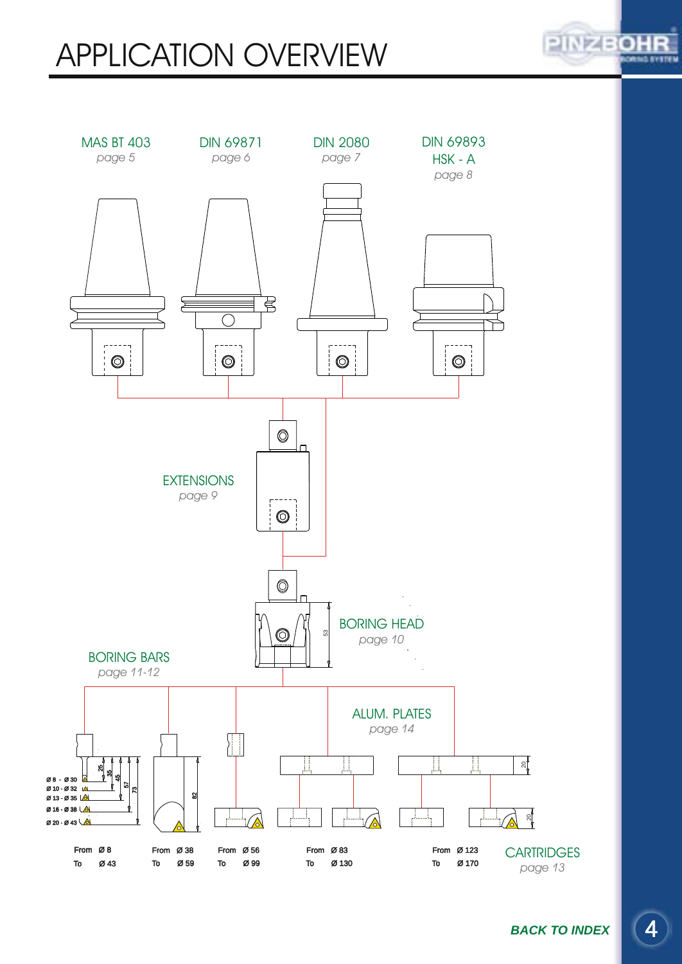# <span id="page-3-0"></span>APPLICATION OVERVIEW



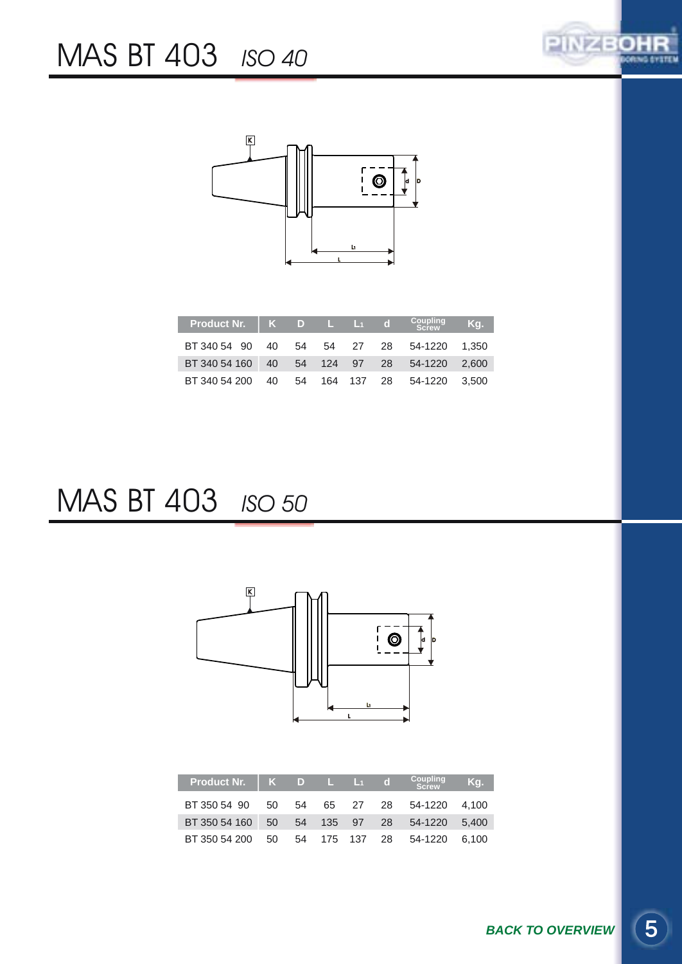

<span id="page-4-0"></span>

| Product Nr. $\parallel$ K D L L <sub>1</sub> d |  |  | Coupling<br>Screw | Kg. |
|------------------------------------------------|--|--|-------------------|-----|
| BT 340 54 90 40 54 54 27 28 54-1220 1.350      |  |  |                   |     |
| BT 340 54 160 40 54 124 97 28 54-1220 2,600    |  |  |                   |     |
| BT 340 54 200 40 54 164 137 28 54-1220 3.500   |  |  |                   |     |

### MAS BT 403 *ISO 50*



| Product Nr.   K D L L1 d                     |  |  | Coupling<br>Screw | Kg. |
|----------------------------------------------|--|--|-------------------|-----|
| BT 350 54 90 50 54 65 27 28 54-1220 4.100    |  |  |                   |     |
| BT 350 54 160 50 54 135 97 28 54-1220 5.400  |  |  |                   |     |
| BT 350 54 200 50 54 175 137 28 54-1220 6,100 |  |  |                   |     |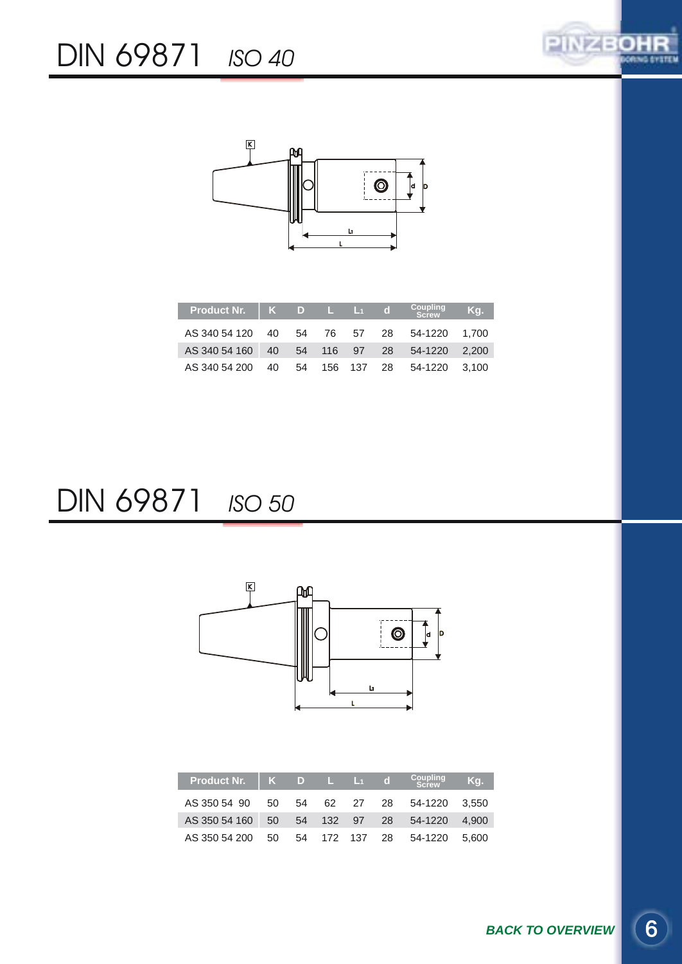

<span id="page-5-0"></span>

| Product Nr.   K D L L1 d                     |  |  | Coupling<br>Screw | Kq. |
|----------------------------------------------|--|--|-------------------|-----|
| AS 340 54 120 40 54 76 57 28 54-1220 1.700   |  |  |                   |     |
| AS 340 54 160 40 54 116 97 28 54-1220 2,200  |  |  |                   |     |
| AS 340 54 200 40 54 156 137 28 54-1220 3,100 |  |  |                   |     |

#### DIN 69871 *ISO 50*



| Product Nr.   K D L L <sub>1</sub> d         |  |  | Coupling<br>Screw | Kg. |
|----------------------------------------------|--|--|-------------------|-----|
| AS 350 54 90 50 54 62 27 28 54-1220 3.550    |  |  |                   |     |
| AS 350 54 160 50 54 132 97 28 54-1220 4,900  |  |  |                   |     |
| AS 350 54 200 50 54 172 137 28 54-1220 5.600 |  |  |                   |     |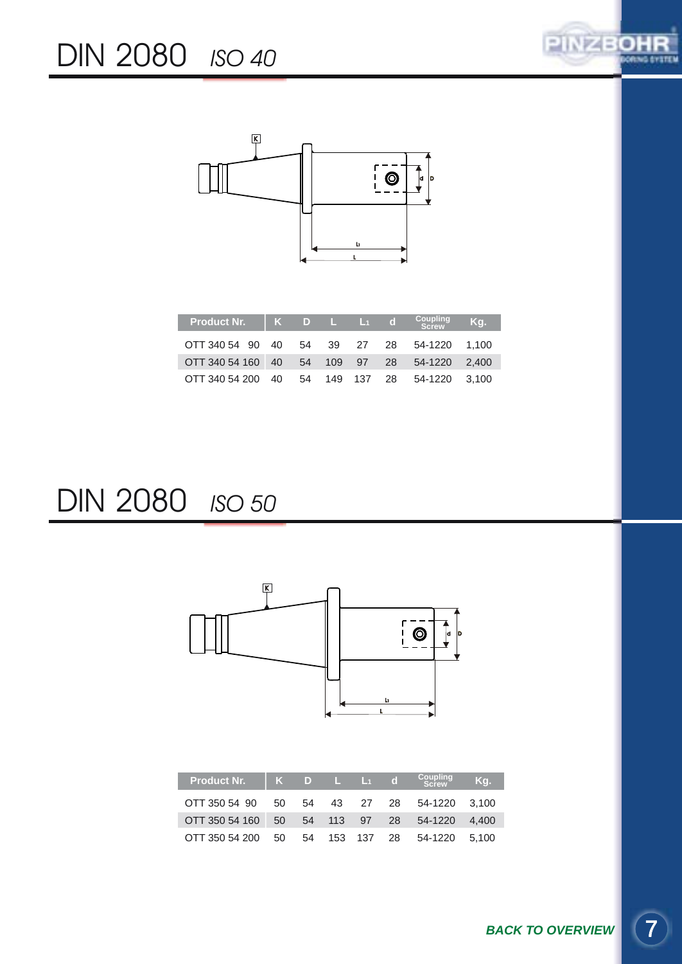

<span id="page-6-0"></span>

| Product Nr.   K D L L <sub>1</sub> d          |  |  | Coupling<br>Screw | Ka. |
|-----------------------------------------------|--|--|-------------------|-----|
| OTT 340 54 90 40 54 39 27 28 54-1220 1.100    |  |  |                   |     |
| OTT 340 54 160 40 54 109 97 28 54-1220 2,400  |  |  |                   |     |
| OTT 340 54 200 40 54 149 137 28 54-1220 3.100 |  |  |                   |     |

#### DIN 2080 *ISO 50*



OTT 350 54 200 50 54 153 137 28 54-1220 5,100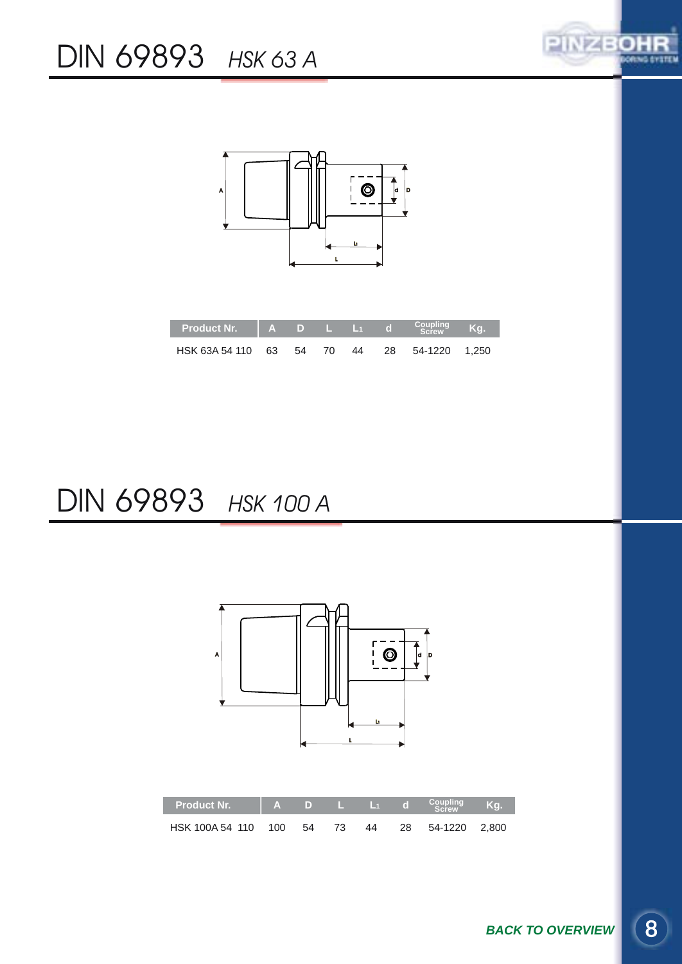

<span id="page-7-0"></span>

### DIN 69893 *HSK 100 A*

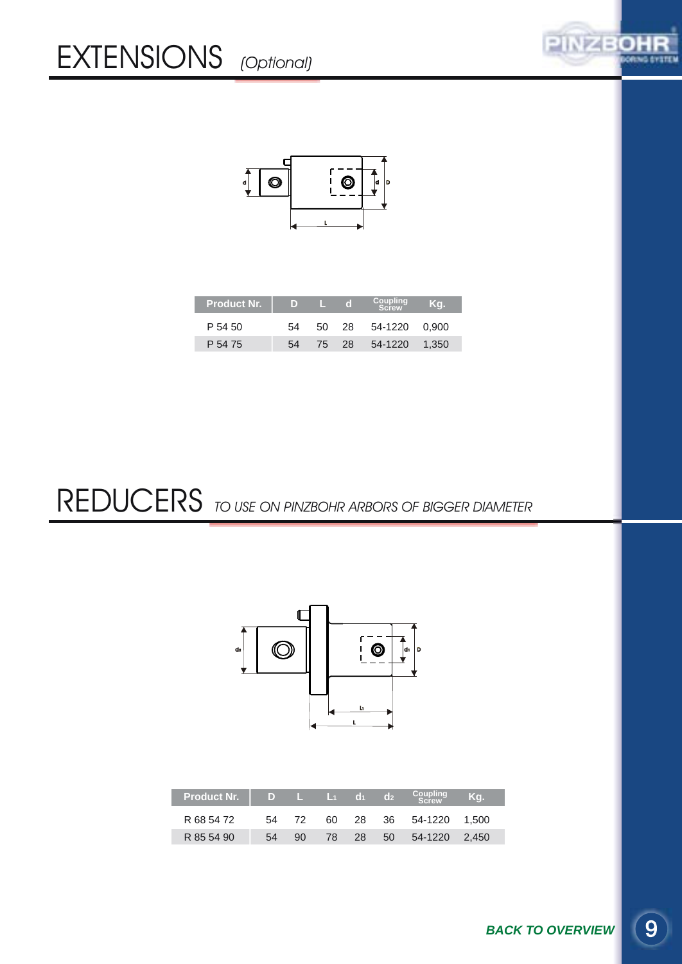

<span id="page-8-0"></span>

| <b>Product Nr.</b> | D  |     | r o   | Coupling      | Ka.   |
|--------------------|----|-----|-------|---------------|-------|
| P 54 50            | 54 | 50. | - 28  | 54-1220 0.900 |       |
| P 54 75            | 54 |     | 75 28 | 54-1220       | 1.350 |

REDUCERS *TO USE ON PINZBOHR ARBORS OF BIGGER DIAMETER*



| <b>Product Nr.</b> | - D |    | / L L1 d1. |     | $d_2$ | Coupling<br>Screw | Κa. |
|--------------------|-----|----|------------|-----|-------|-------------------|-----|
| R 68 54 72         | 54  |    |            | 28  |       | 36 54-1220 1.500  |     |
| R 85 54 90         | 54  | 90 | 78 -       | -28 |       | 50 54-1220 2.450  |     |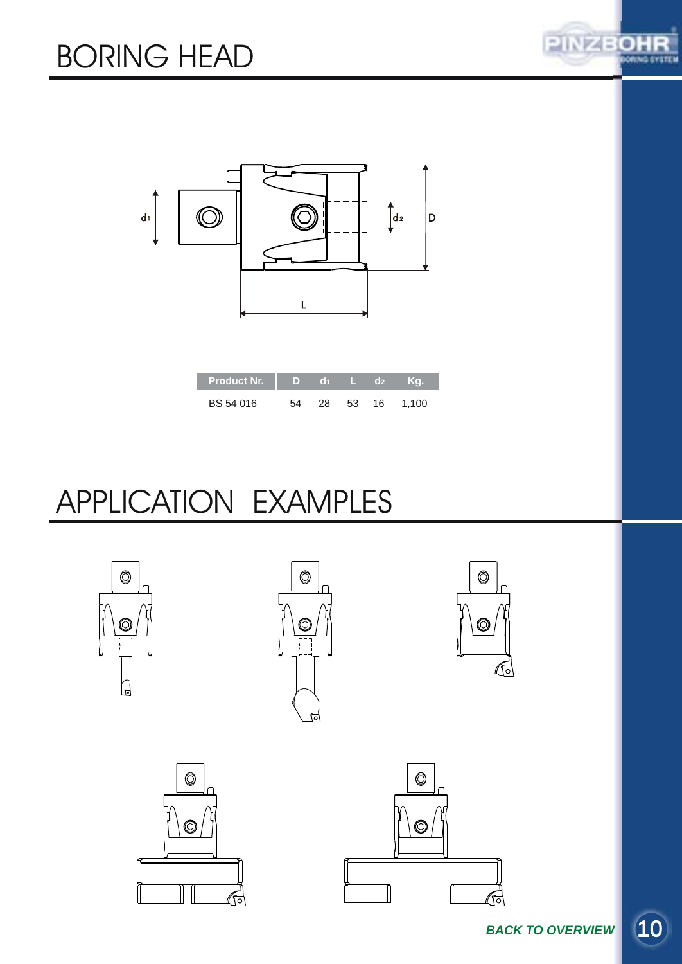

<span id="page-9-0"></span>

| <b>Product Nr.</b> | D). | 61  |      | $\mathbf{d}$ | Ka    |
|--------------------|-----|-----|------|--------------|-------|
| BS 54 016          |     | 28. | - 53 | 16           | 1.100 |

# APPLICATION EXAMPLES





G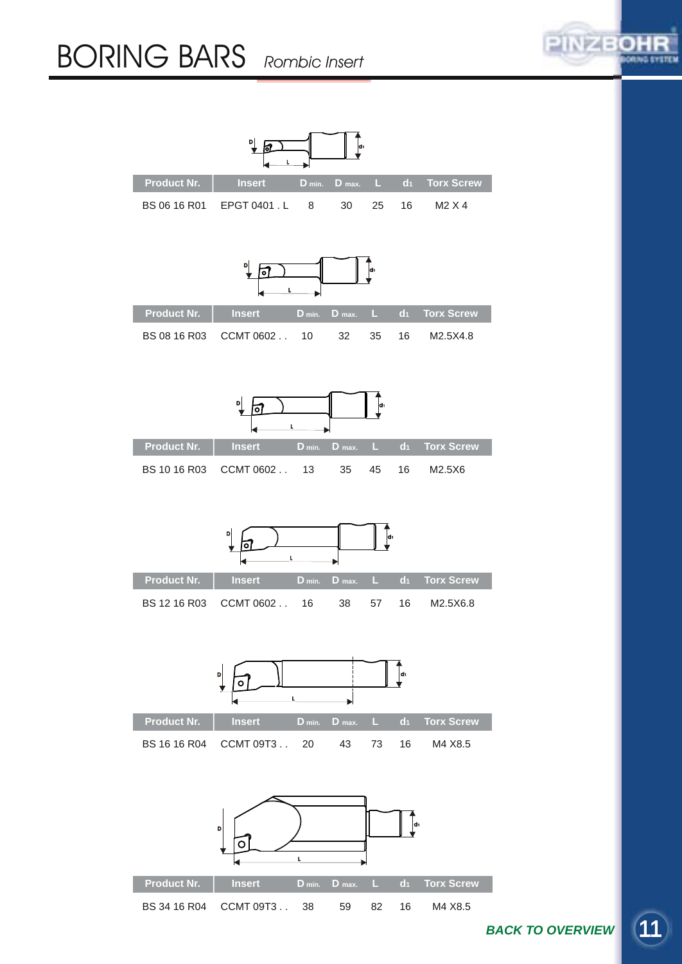#### <span id="page-10-0"></span>BORING BARS *Rombic Insert*



**[BACK TO OVERVIEW](#page-3-0)** 

PINZBOH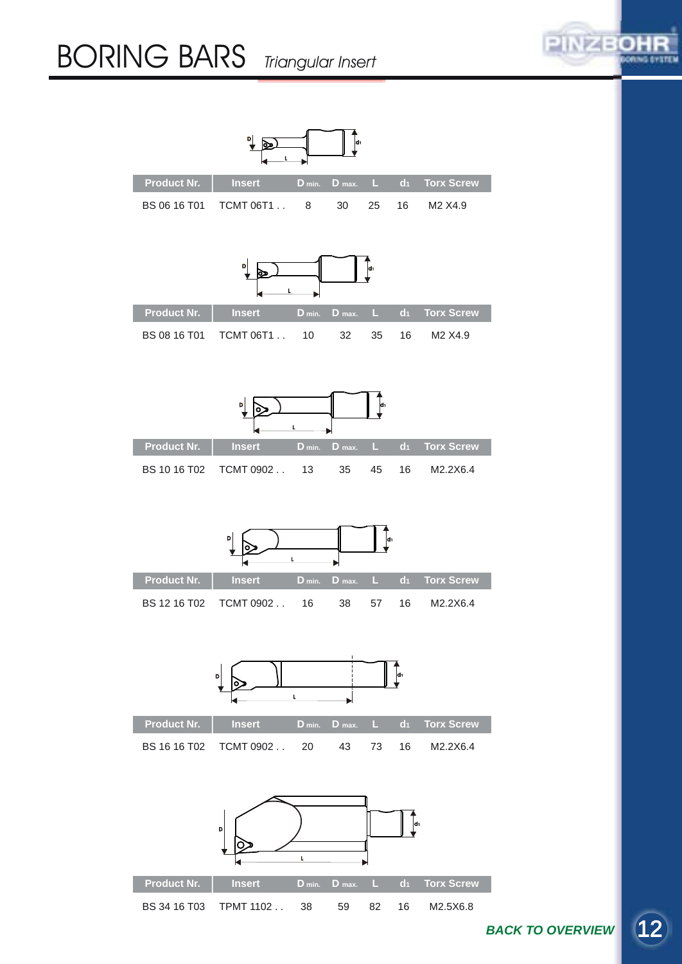### <span id="page-11-0"></span>BORING BARS *Triangular Insert*





**[BACK TO OVERVIEW](#page-3-0)**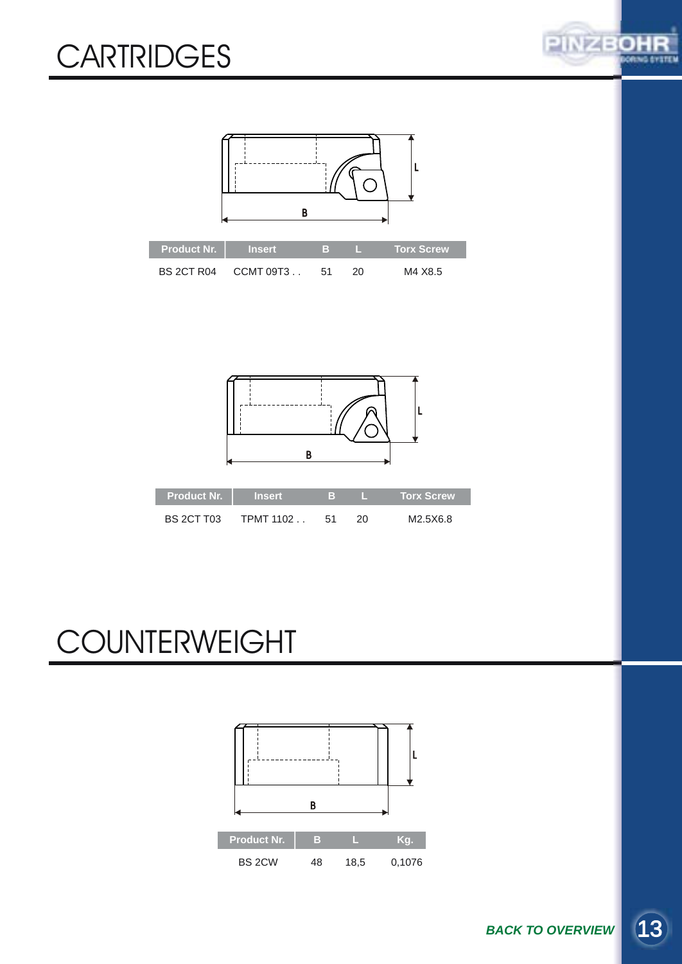## <span id="page-12-0"></span>**CARTRIDGES**







| <b>BS 2CT T03</b> | TPMT 1102 51 |  | M2.5X6.8 |
|-------------------|--------------|--|----------|

# **COUNTERWEIGHT**